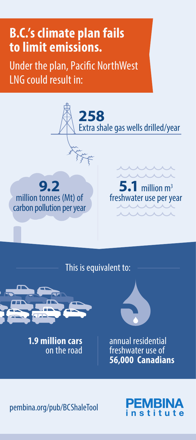## **B.C.'s climate plan fails to limit emissions.**

Under the plan, Pacific NorthWest LNG could result in:



This is equivalent to:



**1.9 million cars** on the road



annual residential freshwater use of **56,000 Canadians**

pembina.org/pub/BCShaleTool